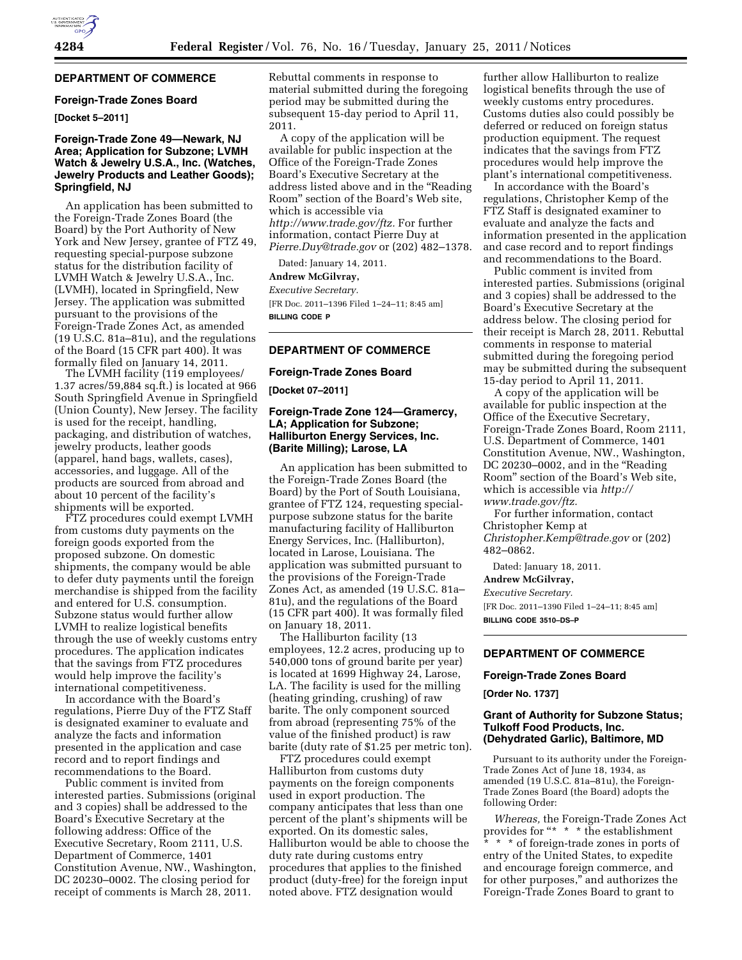# **DEPARTMENT OF COMMERCE**

### **Foreign-Trade Zones Board**

# **[Docket 5–2011]**

### **Foreign-Trade Zone 49—Newark, NJ Area; Application for Subzone; LVMH Watch & Jewelry U.S.A., Inc. (Watches, Jewelry Products and Leather Goods); Springfield, NJ**

An application has been submitted to the Foreign-Trade Zones Board (the Board) by the Port Authority of New York and New Jersey, grantee of FTZ 49, requesting special-purpose subzone status for the distribution facility of LVMH Watch & Jewelry U.S.A., Inc. (LVMH), located in Springfield, New Jersey. The application was submitted pursuant to the provisions of the Foreign-Trade Zones Act, as amended (19 U.S.C. 81a–81u), and the regulations of the Board (15 CFR part 400). It was formally filed on January 14, 2011.

The LVMH facility (119 employees/ 1.37 acres/59,884 sq.ft.) is located at 966 South Springfield Avenue in Springfield (Union County), New Jersey. The facility is used for the receipt, handling, packaging, and distribution of watches, jewelry products, leather goods (apparel, hand bags, wallets, cases), accessories, and luggage. All of the products are sourced from abroad and about 10 percent of the facility's shipments will be exported.

FTZ procedures could exempt LVMH from customs duty payments on the foreign goods exported from the proposed subzone. On domestic shipments, the company would be able to defer duty payments until the foreign merchandise is shipped from the facility and entered for U.S. consumption. Subzone status would further allow LVMH to realize logistical benefits through the use of weekly customs entry procedures. The application indicates that the savings from FTZ procedures would help improve the facility's international competitiveness.

In accordance with the Board's regulations, Pierre Duy of the FTZ Staff is designated examiner to evaluate and analyze the facts and information presented in the application and case record and to report findings and recommendations to the Board.

Public comment is invited from interested parties. Submissions (original and 3 copies) shall be addressed to the Board's Executive Secretary at the following address: Office of the Executive Secretary, Room 2111, U.S. Department of Commerce, 1401 Constitution Avenue, NW., Washington, DC 20230–0002. The closing period for receipt of comments is March 28, 2011.

Rebuttal comments in response to material submitted during the foregoing period may be submitted during the subsequent 15-day period to April 11, 2011.

A copy of the application will be available for public inspection at the Office of the Foreign-Trade Zones Board's Executive Secretary at the address listed above and in the ''Reading Room'' section of the Board's Web site, which is accessible via *[http://www.trade.gov/ftz.](http://www.trade.gov/ftz)* For further information, contact Pierre Duy at *[Pierre.Duy@trade.gov](mailto:Pierre.Duy@trade.gov)* or (202) 482–1378.

Dated: January 14, 2011.

#### **Andrew McGilvray,**

*Executive Secretary.* 

[FR Doc. 2011–1396 Filed 1–24–11; 8:45 am] **BILLING CODE P** 

#### **DEPARTMENT OF COMMERCE**

#### **Foreign-Trade Zones Board**

**[Docket 07–2011]** 

# **Foreign-Trade Zone 124—Gramercy, LA; Application for Subzone; Halliburton Energy Services, Inc. (Barite Milling); Larose, LA**

An application has been submitted to the Foreign-Trade Zones Board (the Board) by the Port of South Louisiana, grantee of FTZ 124, requesting specialpurpose subzone status for the barite manufacturing facility of Halliburton Energy Services, Inc. (Halliburton), located in Larose, Louisiana. The application was submitted pursuant to the provisions of the Foreign-Trade Zones Act, as amended (19 U.S.C. 81a– 81u), and the regulations of the Board (15 CFR part 400). It was formally filed on January 18, 2011.

The Halliburton facility (13 employees, 12.2 acres, producing up to 540,000 tons of ground barite per year) is located at 1699 Highway 24, Larose, LA. The facility is used for the milling (heating grinding, crushing) of raw barite. The only component sourced from abroad (representing 75% of the value of the finished product) is raw barite (duty rate of \$1.25 per metric ton).

FTZ procedures could exempt Halliburton from customs duty payments on the foreign components used in export production. The company anticipates that less than one percent of the plant's shipments will be exported. On its domestic sales, Halliburton would be able to choose the duty rate during customs entry procedures that applies to the finished product (duty-free) for the foreign input noted above. FTZ designation would

further allow Halliburton to realize logistical benefits through the use of weekly customs entry procedures. Customs duties also could possibly be deferred or reduced on foreign status production equipment. The request indicates that the savings from FTZ procedures would help improve the plant's international competitiveness.

In accordance with the Board's regulations, Christopher Kemp of the FTZ Staff is designated examiner to evaluate and analyze the facts and information presented in the application and case record and to report findings and recommendations to the Board.

Public comment is invited from interested parties. Submissions (original and 3 copies) shall be addressed to the Board's Executive Secretary at the address below. The closing period for their receipt is March 28, 2011. Rebuttal comments in response to material submitted during the foregoing period may be submitted during the subsequent 15-day period to April 11, 2011.

A copy of the application will be available for public inspection at the Office of the Executive Secretary, Foreign-Trade Zones Board, Room 2111, U.S. Department of Commerce, 1401 Constitution Avenue, NW., Washington, DC 20230-0002, and in the "Reading Room'' section of the Board's Web site, which is accessible via *[http://](http://www.trade.gov/ftz) [www.trade.gov/ftz.](http://www.trade.gov/ftz)* 

For further information, contact Christopher Kemp at *[Christopher.Kemp@trade.gov](mailto:Christopher.Kemp@trade.gov)* or (202) 482–0862.

Dated: January 18, 2011.

# **Andrew McGilvray,**

*Executive Secretary.*  [FR Doc. 2011–1390 Filed 1–24–11; 8:45 am]

**BILLING CODE 3510–DS–P** 

# **DEPARTMENT OF COMMERCE**

### **Foreign-Trade Zones Board**

**[Order No. 1737]** 

### **Grant of Authority for Subzone Status; Tulkoff Food Products, Inc. (Dehydrated Garlic), Baltimore, MD**

Pursuant to its authority under the Foreign-Trade Zones Act of June 18, 1934, as amended (19 U.S.C. 81a–81u), the Foreign-Trade Zones Board (the Board) adopts the following Order:

*Whereas,* the Foreign-Trade Zones Act provides for "\* \* \* the establishment \* \* \* of foreign-trade zones in ports of entry of the United States, to expedite and encourage foreign commerce, and for other purposes,'' and authorizes the Foreign-Trade Zones Board to grant to